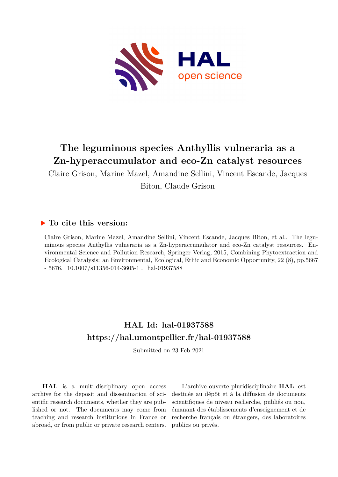

# **The leguminous species Anthyllis vulneraria as a Zn-hyperaccumulator and eco-Zn catalyst resources**

Claire Grison, Marine Mazel, Amandine Sellini, Vincent Escande, Jacques Biton, Claude Grison

# **To cite this version:**

Claire Grison, Marine Mazel, Amandine Sellini, Vincent Escande, Jacques Biton, et al.. The leguminous species Anthyllis vulneraria as a Zn-hyperaccumulator and eco-Zn catalyst resources. Environmental Science and Pollution Research, Springer Verlag, 2015, Combining Phytoextraction and Ecological Catalysis: an Environmental, Ecological, Ethic and Economic Opportunity, 22 (8), pp.5667  $-5676.$  10.1007/s11356-014-3605-1 . hal-01937588

# **HAL Id: hal-01937588 <https://hal.umontpellier.fr/hal-01937588>**

Submitted on 23 Feb 2021

**HAL** is a multi-disciplinary open access archive for the deposit and dissemination of scientific research documents, whether they are published or not. The documents may come from teaching and research institutions in France or abroad, or from public or private research centers.

L'archive ouverte pluridisciplinaire **HAL**, est destinée au dépôt et à la diffusion de documents scientifiques de niveau recherche, publiés ou non, émanant des établissements d'enseignement et de recherche français ou étrangers, des laboratoires publics ou privés.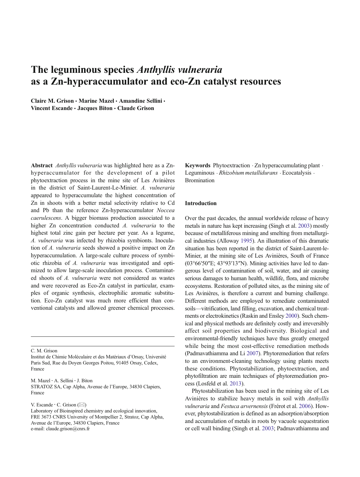# The leguminous species *Anthyllis vulneraria* as a Zn-hyperaccumulator and eco-Zn catalyst resources

Claire M. Grison • Marine Mazel • Amandine Sellini • Vincent Escande · Jacques Biton · Claude Grison

Abstract Anthyllis vulneraria was highlighted here as a Znhyperaccumulator for the development of a pilot phytoextraction process in the mine site of Les Avinières in the district of Saint-Laurent-Le-Minier. A. vulneraria appeared to hyperaccumulate the highest concentration of Zn in shoots with a better metal selectivity relative to Cd and Pb than the reference Zn-hyperaccumulator Noccea caerulescens. A bigger biomass production associated to a higher Zn concentration conducted A. vulneraria to the highest total zinc gain per hectare per year. As a legume, A. vulneraria was infected by rhizobia symbionts. Inoculation of A. vulneraria seeds showed a positive impact on Zn hyperaccumulation. A large-scale culture process of symbiotic rhizobia of A. vulneraria was investigated and optimized to allow large-scale inoculation process. Contaminated shoots of A. vulneraria were not considered as wastes and were recovered as Eco-Zn catalyst in particular, examples of organic synthesis, electrophilic aromatic substitution. Eco-Zn catalyst was much more efficient than conventional catalysts and allowed greener chemical processes.

C. M. Grison

M. Mazel : A. Sellini : J. Biton STRATOZ SA, Cap Alpha, Avenue de l'Europe, 34830 Clapiers, France

V. Escande  $\cdot$  C. Grison ( $\boxtimes$ )

**Keywords** Phytoextraction  $\cdot$  Zn hyperaccumulating plant  $\cdot$ Leguminous . Rhizobium metallidurans . Ecocatalysis . Bromination

## Introduction

Over the past decades, the annual worldwide release of heavy metals in nature has kept increasing (Singh et al. 2003) mostly because of metalliferous mining and smelting from metallurgical industries (Alloway 1995). An illustration of this dramatic situation has been reported in the district of Saint-Laurent-le-Minier, at the mining site of Les Avinières, South of France (03°66′50″E; 43°93′13″N). Mining activities have led to dangerous level of contamination of soil, water, and air causing serious damages to human health, wildlife, flora, and microbe ecosystems. Restoration of polluted sites, as the mining site of Les Avinières, is therefore a current and burning challenge. Different methods are employed to remediate contaminated soils—vitrification, land filling, excavation, and chemical treatments or electrokinetics (Raskin and Ensley 2000). Such chemical and physical methods are definitely costly and irreversibly affect soil properties and biodiversity. Biological and environmental-friendly techniques have thus greatly emerged while being the most cost-effective remediation methods (Padmavathiamma and Li 2007). Phytoremediation that refers to an environment-cleaning technology using plants meets these conditions. Phytostabilization, phytoextraction, and phytofiltration are main techniques of phytoremediation process (Losfeld et al. 2013).

Phytostabilization has been used in the mining site of Les Avinières to stabilize heavy metals in soil with Anthyllis vulneraria and Festuca arvernensis (Frérot et al. 2006). However, phytostabilization is defined as an adsorption/absorption and accumulation of metals in roots by vacuole sequestration or cell wall binding (Singh et al. 2003; Padmavathiamma and

Institut de Chimie Moléculaire et des Matériaux d'Orsay, Université Paris Sud, Rue du Doyen Georges Poitou, 91405 Orsay, Cedex, France

Laboratory of Bioinspired chemistry and ecological innovation, FRE 3673 CNRS University of Montpellier 2, Stratoz, Cap Alpha, Avenue de l'Europe, 34830 Clapiers, France e-mail: claude.grison@cnrs.fr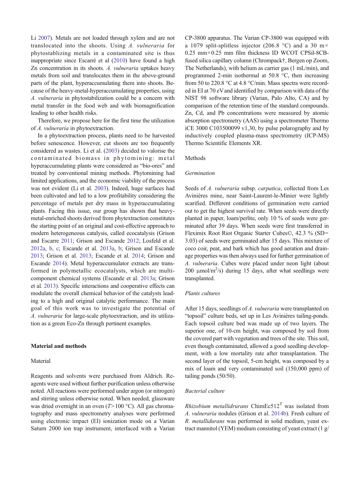Li 2007). Metals are not loaded through xylem and are not translocated into the shoots. Using A. vulneraria for phytostablizing metals in a contaminated site is thus inappropriate since Escarré et al (2010) have found a high Zn concentration in its shoots. A. vulneraria uptakes heavy metals from soil and translocates them in the above-ground parts of the plant, hyperaccumulating them into shoots. Because of the heavy-metal-hyperaccumulating properties, using A. vulneraria in phytostabilization could be a concern with metal transfer in the food web and with biomagnification leading to other health risks.

Therefore, we propose here for the first time the utilization of A. vulneraria in phytoextraction.

In a phytoextraction process, plants need to be harvested before senescence. However, cut shoots are too frequently considered as wastes. Li et al. (2003) decided to valorise the contaminated biomass in phytomining: metal hyperaccumulating plants were considered as "bio-ores" and treated by conventional mining methods. Phytomining had limited applications, and the economic viability of the process was not evident (Li et al. 2003). Indeed, huge surfaces had been cultivated and led to a low profitability considering the percentage of metals per dry mass in hyperaccumulating plants. Facing this issue, our group has shown that heavymetal-enriched shoots derived from phytextraction constitutes the starting point of an original and cost-effective approach to modern heterogeneous catalysis, called ecocatalysis (Grison and Escarre 2011; Grison and Escande 2012; Losfeld et al. 2012a, b, c; Escande et al. 2013a, b; Grison and Escande 2013; Grison et al. 2013; Escande et al. 2014; Grison and Escande 2014). Metal hyperaccumulator extracts are transformed in polymetallic ecocatalysts, which are multicomponent chemical systems (Escande et al. 2013a; Grison et al. 2013). Specific interactions and cooperative effects can modulate the overall chemical behavior of the catalysts leading to a high and original catalytic performance. The main goal of this work was to investigate the potential of A. vulneraria for large-scale phytoextraction, and its utilization as a green Eco-Zn through pertinent examples.

## Material and methods

# Material

Reagents and solvents were purchased from Aldrich. Reagents were used without further purification unless otherwise noted. All reactions were performed under argon (or nitrogen) and stirring unless otherwise noted. When needed, glassware was dried overnight in an oven  $(T>100 \degree C)$ . All gas chromatography and mass spectrometry analyses were performed using electronic impact (EI) ionization mode on a Varian Saturn 2000 ion trap instrument, interfaced with a Varian CP-3800 apparatus. The Varian CP-3800 was equipped with a 1079 split-splitless injector (206.8 °C) and a 30 m $\times$ 0.25 mm×0.25 mm film thickness ID WCOT CPSil-8CBfused silica capillary column (Chrompack†, Bergen op Zoom, The Netherlands), with helium as carrier gas (1 mL/min), and programmed 2-min isothermal at 50.8 °C, then increasing from 50 to 220.8 °C at 4.8 °C/min. Mass spectra were recorded in EI at 70 eVand identified by comparison with data of the NIST 98 software library (Varian, Palo Alto, CA) and by comparison of the retention time of the standard compounds. Zn, Cd, and Pb concentrations were measured by atomic absorption spectrometry (AAS) using a spectrometer Thermo iCE 3000 C103500099 v1,30, by pulse polarography and by inductively coupled plasma-mass spectrometry (ICP-MS) Thermo Scientific Elements XR.

# Methods

#### Germination

Seeds of A. vulneraria subsp. carpatica, collected from Les Avinières mine, near Saint-Laurent-le-Minier were lightly scarified. Different conditions of germination were carried out to get the highest survival rate. When seeds were directly planted in paper, loam/perlite, only 10 % of seeds were germinated after 39 days. When seeds were first transferred in Fleximix Root Riot Organic Starter Cubes©, 42.3 % (SD= 3.03) of seeds were germinated after 15 days. This mixture of coco coir, peat, and bark which has good aeration and drainage properties was then always used for further germination of A. vulneraria. Cubes were placed under neon light (about 200  $\mu$ mol/m<sup>2</sup>/s) during 15 days, after what seedlings were transplanted.

## Plants cultures

After 15 days, seedlings of A. vulneraria were transplanted on "topsoil" culture beds, set up in Les Avinières tailing-ponds. Each topsoil culture bed was made up of two layers. The superior one, of 10-cm height, was composed by soil from the covered part with vegetation and trees of the site. This soil, even though contaminated, allowed a good seedling development, with a low mortality rate after transplantation. The second layer of the topsoil, 5-cm height, was composed by a mix of loam and very contaminated soil (150,000 ppm) of tailing ponds (50/50).

### Bacterial culture

Rhizobium metallidrurans ChimEc512<sup>T</sup> was isolated from A. vulneraria nodules (Grison et al. 2014b). Fresh culture of R. metallidurans was performed in solid medium, yeast extract mannitol (YEM) medium consisting of yeast extract (1 g/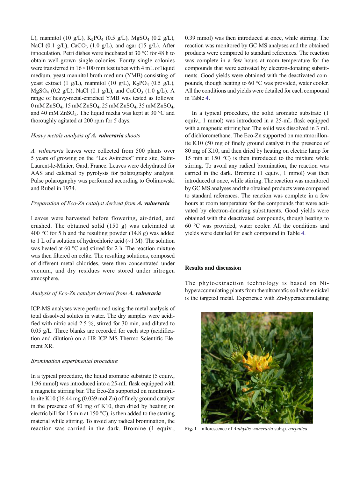L), mannitol (10 g/L),  $K_2PO_4$  (0.5 g/L),  $MgSO_4$  (0.2 g/L), NaCl (0.1 g/L), CaCO<sub>3</sub> (1.0 g/L), and agar (15 g/L). After innoculation, Petri dishes were incubated at 30 °C for 48 h to obtain well-grown single colonies. Fourty single colonies were transferred in  $16 \times 100$  mm test tubes with 4 mL of liquid medium, yeast mannitol broth medium (YMB) consisting of yeast extract (1 g/L), mannitol (10 g/L),  $K_2PO_4$  (0.5 g/L),  $MgSO_4$  (0.2 g/L), NaCl (0.1 g/L), and CaCO<sub>3</sub> (1.0 g/L). A range of heavy-metal-enriched YMB was tested as follows: 0 mM ZnSO4, 15 mM ZnSO4, 25 mM ZnSO4, 35 mM ZnSO4, and 40 mM ZnSO<sub>4</sub>. The liquid media was kept at 30  $^{\circ}$ C and thoroughly agitated at 200 rpm for 5 days.

# Heavy metals analysis of A. vulneraria shoots

A. vulneraria leaves were collected from 500 plants over 5 years of growing on the "Les Avinières" mine site, Saint-Laurent-le-Minier, Gard, France. Leaves were dehydrated for AAS and calcined by pyrolysis for polarography analysis. Pulse polarography was performed according to Golimowski and Rubel in 1974.

# Preparation of Eco-Zn catalyst derived from A. vulneraria

Leaves were harvested before flowering, air-dried, and crushed. The obtained solid (150 g) was calcinated at 400 °C for 5 h and the resulting powder (14.8 g) was added to 1 L of a solution of hydrochloric acid (∼1 M). The solution was heated at 60 °C and stirred for 2 h. The reaction mixture was then filtered on celite. The resulting solutions, composed of different metal chlorides, were then concentrated under vacuum, and dry residues were stored under nitrogen atmosphere.

# Analysis of Eco-Zn catalyst derived from A. vulneraria

ICP-MS analyses were performed using the metal analysis of total dissolved solutes in water. The dry samples were acidified with nitric acid 2.5 %, stirred for 30 min, and diluted to 0.05 g/L. Three blanks are recorded for each step (acidification and dilution) on a HR-ICP-MS Thermo Scientific Element XR.

# Bromination experimental procedure

In a typical procedure, the liquid aromatic substrate (5 equiv., 1.96 mmol) was introduced into a 25-mL flask equipped with a magnetic stirring bar. The Eco-Zn supported on montmorillonite K10 (16.44 mg (0.039 mol Zn) of finely ground catalyst in the presence of 80 mg of K10, then dried by heating on electric bill for 15 min at 150 °C), is then added to the starting material while stirring. To avoid any radical bromination, the reaction was carried in the dark. Bromine (1 equiv.,

0.39 mmol) was then introduced at once, while stirring. The reaction was monitored by GC MS analyses and the obtained products were compared to standard references. The reaction was complete in a few hours at room temperature for the compounds that were activated by electron-donating substituents. Good yields were obtained with the deactivated compounds, though heating to 60 °C was provided, water cooler. All the conditions and yields were detailed for each compound in Table 4.

In a typical procedure, the solid aromatic substrate (1 equiv., 1 mmol) was introduced in a 25-mL flask equipped with a magnetic stirring bar. The solid was dissolved in 3 mL of dichloromethane. The Eco-Zn supported on montmorillonite K10 (50 mg of finely ground catalyst in the presence of 80 mg of K10, and then dried by heating on electric lamp for 15 min at 150  $^{\circ}$ C) is then introduced to the mixture while stirring. To avoid any radical bromination, the reaction was carried in the dark. Bromine (1 equiv., 1 mmol) was then introduced at once, while stirring. The reaction was monitored by GC MS analyses and the obtained products were compared to standard references. The reaction was complete in a few hours at room temperature for the compounds that were activated by electron-donating substituents. Good yields were obtained with the deactivated compounds, though heating to 60 °C was provided, water cooler. All the conditions and yields were detailed for each compound in Table 4.

# Results and discussion

The phytoextraction technology is based on Nihyperaccumulating plants from the ultramafic soil where nickel is the targeted metal. Experience with Zn-hyperaccumulating



Fig. 1 Inflorescence of Anthyllis vulneraria subsp. carpatica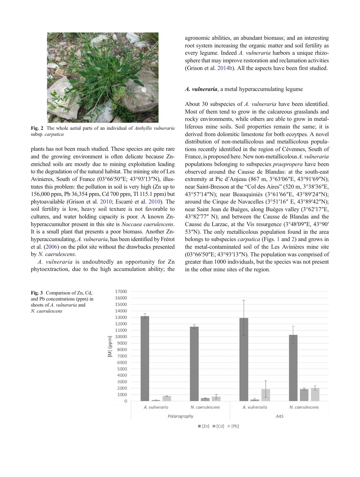

Fig. 2 The whole aerial parts of an individual of Anthyllis vulneraria subsp. carpatica

plants has not been much studied. These species are quite rare and the growing environment is often delicate because Znenriched soils are mostly due to mining exploitation leading to the degradation of the natural habitat. The mining site of Les Avinieres, South of France (03°66′50″E; 43°93′13″N), illustrates this problem: the pollution in soil is very high (Zn up to 156,000 ppm, Pb 36,354 ppm, Cd 700 ppm, Tl 115.1 ppm) but phytoavailable (Grison et al. 2010; Escarré et al. 2010). The soil fertility is low, heavy soil texture is not favorable to cultures, and water holding capacity is poor. A known Znhyperaccumultor present in this site is Noccaea caerulescens. It is a small plant that presents a poor biomass. Another Znhyperaccumulating, A. vulneraria, has been identified by Frérot et al. (2006) on the pilot site without the drawbacks presented by N. caerulescens.

A. vulneraria is undoubtedly an opportunity for Zn phytoextraction, due to the high accumulation ability; the

N. caerulescens

agronomic abilities, an abundant biomass; and an interesting root system increasing the organic matter and soil fertility as every legume. Indeed A. vulneraria harbors a unique rhizosphere that may improve restoration and reclamation activities (Grison et al. 2014b). All the aspects have been first studied.

## A. vulneraria, a metal hyperaccumulating legume

About 30 subspecies of A. vulneraria have been identified. Most of them tend to grow in the calcareous grasslands and rocky environments, while others are able to grow in metalliferous mine soils. Soil properties remain the same; it is derived from dolomitic limestone for both ecoytpes. A novel distribution of non-metallicolous and metallicolous populations recently identified in the region of Cévennes, South of France, is proposed here. New non-metallicolous A. vulneraria populations belonging to subspecies praepropera have been observed around the Causse de Blandas: at the south-east extremity at Pic d'Anjeau (867 m, 3°63′06″E, 43°91′69″N); near Saint-Bresson at the "Col des Aires" (520 m, 3°38′36″E, 43°57′14″N); near Beauquiniès (3°61′66″E, 43°89′24″N); around the Cirque de Navacelles (3°51′16″ E, 43°89′42″N); near Saint Jean de Buèges, along Buèges valley (3°62′17″E, 43°82′77″ N); and between the Causse de Blandas and the Causse du Larzac, at the Vis resurgence (3°48′09″E, 43°90′ 53″N). The only metallicolous population found in the area belongs to subspecies carpatica (Figs. 1 and 2) and grows in the metal-contaminated soil of the Les Avinières mine site (03°66′50″E; 43°93′13″N). The population was comprised of greater than 1000 individuals, but the species was not present in the other mine sites of the region.



 $\blacksquare$  [Zn]  $\blacksquare$  [Cd]  $\blacksquare$  [Pb]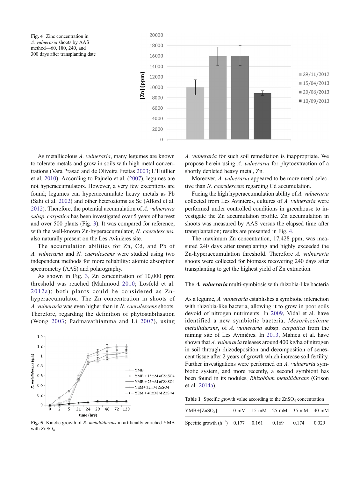Fig. 4 Zinc concentration in A. vulneraria shoots by AAS method—60, 180, 240, and 300 days after transplanting date



As metallicolous A. vulneraria, many legumes are known to tolerate metals and grow in soils with high metal concentrations (Vara Prasad and de Oliveira Freitas 2003; L'Huillier et al. 2010). According to Pajuelo et al. (2007), legumes are not hyperaccumulators. However, a very few exceptions are found; legumes can hyperaccumulate heavy metals as Pb (Sahi et al. 2002) and other heteroatoms as Se (Alford et al. 2012). Therefore, the potential accumulation of A. vulneraria subsp. carpatica has been investigated over 5 years of harvest and over 500 plants (Fig. 3). It was compared for reference, with the well-known Zn-hyperaccumulator, N. caerulescens, also naturally present on the Les Avinières site.

The accumulation abilities for Zn, Cd, and Pb of A. vulneraria and N. caerulescens were studied using two independent methods for more reliability: atomic absorption spectrometry (AAS) and polarography.

As shown in Fig. 3, Zn concentration of 10,000 ppm threshold was reached (Mahmood 2010; Losfeld et al. 2012a); both plants could be considered as Znhyperaccumulator. The Zn concentration in shoots of A. vulneraria was even higher than in N. caerulescens shoots. Therefore, regarding the definition of phytostabilisation (Wong 2003; Padmavathiamma and Li 2007), using



Fig. 5 Kinetic growth of R. metallidurans in artificially enriched YMB with  $ZnSO<sub>4</sub>$ 

A. vulneraria for such soil remediation is inappropriate. We propose herein using A. vulneraria for phytoextraction of a shortly depleted heavy metal, Zn.

Moreover, A. vulneraria appeared to be more metal selective than N. caerulescens regarding Cd accumulation.

Facing the high hyperaccumulation ability of A. vulneraria collected from Les Avinières, cultures of A. vulneraria were performed under controlled conditions in greenhouse to investigate the Zn accumulation profile. Zn accumulation in shoots was measured by AAS versus the elapsed time after transplantation; results are presented in Fig. 4.

The maximum Zn concentration, 17,428 ppm, was measured 240 days after transplanting and highly exceeded the Zn-hyperaccumulation threshold. Therefore A. vulneraria shoots were collected for biomass recovering 240 days after transplanting to get the highest yield of Zn extraction.

#### The A. vulneraria multi-symbiosis with rhizobia-like bacteria

As a legume, A. vulneraria establishes a symbiotic interaction with rhizobia-like bacteria, allowing it to grow in poor soils devoid of nitrogen nutriments. In 2009, Vidal et al. have identified a new symbiotic bacteria, Mesorhizobium metallidurans, of A. vulneraria subsp. carpatica from the mining site of Les Avinières. In 2013, Mahieu et al. have shown that A. vulneraria releases around 400 kg/ha of nitrogen in soil through rhizodeposition and decomposition of senescent tissue after 2 years of growth which increase soil fertility. Further investigations were performed on A. vulneraria symbiotic system, and more recently, a second symbiont has been found in its nodules, Rhizobium metallidurans (Grison et al. 2014a).

**Table 1** Specific growth value according to the  $ZnSO<sub>4</sub>$  concentration

| $YMB + [ZnSO4]$                                    |  | 0 mM 15 mM 25 mM 35 mM 40 mM |       |
|----------------------------------------------------|--|------------------------------|-------|
| Specific growth $(h^{-1})$ 0.177 0.161 0.169 0.174 |  |                              | 0.029 |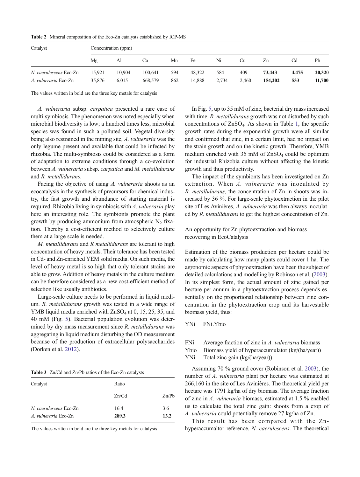Table 2 Mineral composition of the Eco-Zn catalysts established by ICP-MS

| Catalyst                                       | Concentration (ppm) |                 |                    |            |                  |              |              |                   |              |                  |
|------------------------------------------------|---------------------|-----------------|--------------------|------------|------------------|--------------|--------------|-------------------|--------------|------------------|
|                                                | Μg                  | Al              | Ca                 | Mn         | Fe               | Ni           | Cu           | Zn                | Cd           | Pb               |
| N. caerulescens Eco-Zn<br>A. vulneraria Eco-Zn | 15.921<br>35,876    | 10.904<br>6.015 | 100.641<br>668,579 | 594<br>862 | 48.322<br>14,888 | 584<br>2,734 | 409<br>2.460 | 73,443<br>154,202 | 4.475<br>533 | 20,320<br>11,700 |

The values written in bold are the three key metals for catalysis

A. vulneraria subsp. carpatica presented a rare case of multi-symbiosis. The phenomenon was noted especially when microbial biodiversity is low; a hundred times less, microbial species was found in such a polluted soil. Vegetal diversity being also restrained in the mining site, A. vulneraria was the only legume present and available that could be infected by rhizobia. The multi-symbiosis could be considered as a form of adaptation to extreme conditions through a co-evolution between A. vulneraria subsp. carpatica and M. metallidurans and R. metallidurans.

Facing the objective of using A. vulneraria shoots as an ecocatalysis in the synthesis of precursors for chemical industry, the fast growth and abundance of starting material is required. Rhizobia living in symbiosis with A. vulneraria play here an interesting role. The symbionts promote the plant growth by producing ammonium from atmospheric  $N<sub>2</sub>$  fixation. Thereby a cost-efficient method to selectively culture them at a large scale is needed.

M. metallidurans and R metallidurans are tolerant to high concentration of heavy metals. Their tolerance has been tested in Cd- and Zn-enriched YEM solid media. On such media, the level of heavy metal is so high that only tolerant strains are able to grow. Addition of heavy metals in the culture medium can be therefore considered as a new cost-efficient method of selection like usually antibiotics.

Large-scale culture needs to be performed in liquid medium. R. metallidurans growth was tested in a wide range of YMB liquid media enriched with ZnSO<sub>4</sub> at 0, 15, 25, 35, and 40 mM (Fig. 5). Bacterial population evolution was determined by dry mass measurement since R. metallidurans was aggregating in liquid medium disturbing the OD measurement because of the production of extracellular polysaccharides (Dorken et al. 2012).

Table 3 Zn/Cd and Zn/Pb ratios of the Eco-Zn catalysts

| Catalyst               | Ratio |       |  |  |
|------------------------|-------|-------|--|--|
|                        | Zn/Cd | Zn/Pb |  |  |
| N. caerulescens Eco-Zn | 16.4  | 3.6   |  |  |
| A. vulneraria Eco-Zn   | 289.3 | 13.2  |  |  |

The values written in bold are the three key metals for catalysis

In Fig. 5, up to 35 mM of zinc, bacterial dry mass increased with time. R. *metallidurans* growth was not disturbed by such concentrations of ZnSO4. As shown in Table 1, the specific growth rates during the exponential growth were all similar and confirmed that zinc, in a certain limit, had no impact on the strain growth and on the kinetic growth. Therefore, YMB medium enriched with  $35 \text{ mM of ZnSO}_4$  could be optimum for industrial Rhizobia culture without affecting the kinetic growth and thus productivity.

The impact of the symbionts has been investigated on Zn extraction. When A. vulneraria was inoculated by R. metallidurans, the concentration of Zn in shoots was increased by 36 %. For large-scale phytoextraction in the pilot site of Les Avinières, A. vulneraria was then always inoculated by R. metallidurans to get the highest concentration of Zn.

An opportunity for Zn phytoextraction and biomass recovering in EcoCatalysis

Estimation of the biomass production per hectare could be made by calculating how many plants could cover 1 ha. The agronomic aspects of phytoextraction have been the subject of detailed calculations and modelling by Robinson et al. (2003). In its simplest form, the actual amount of zinc gained per hectare per annum in a phytoextraction process depends essentially on the proportional relationship between zinc concentration in the phytoextraction crop and its harvestable biomass yield, thus:

 $YNi = FNi.Ybio$ 

| FNi | Average fraction of zinc in A. vulneraria biomass     |
|-----|-------------------------------------------------------|
|     | Ybio Biomass yield of hyperaccumulator (kg/(ha/year)) |
| YNi | Total zinc gain (kg/(ha/year))                        |

Assuming 70 % ground cover (Robinson et al. 2003), the number of A. vulneraria plant per hectare was estimated at 266,160 in the site of Les Avinières. The theoretical yield per hectare was 1791 kg/ha of dry biomass. The average fraction of zinc in A. vulneraria biomass, estimated at 1.5 % enabled us to calculate the total zinc gain: shoots from a crop of A. vulneraria could potentially remove 27 kg/ha of Zn.

This result has been compared with the Znhyperaccumaltor reference, N. caerulescens. The theoretical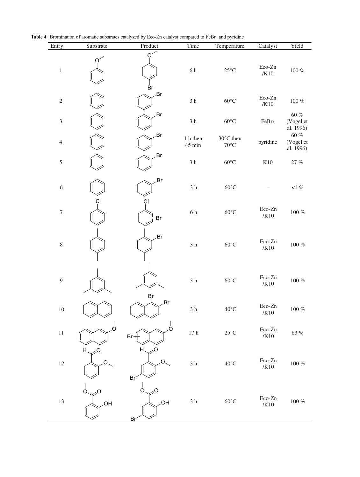| Entry                       | Substrate       | Product                            | Time                                | Temperature                        | Catalyst          | Yield                             |
|-----------------------------|-----------------|------------------------------------|-------------------------------------|------------------------------------|-------------------|-----------------------------------|
| $\,1\,$                     |                 | $\circ$                            | $6\ \mathrm{h}$                     | $25^{\circ}$ C                     | $Eco-Zn$<br>/K10  | $100~\%$                          |
| $\sqrt{2}$                  |                 | Βr<br>.Br                          | $3\ \mathrm{h}$                     | $60^{\circ}$ C                     | Eco-Zn<br>/K10    | $100~\%$                          |
| $\ensuremath{\mathfrak{Z}}$ |                 | .Br                                | $3\ \mathrm{h}$                     | $60^{\circ} \text{C}$              | FeBr <sub>3</sub> | $60~\%$<br>(Vogel et<br>al. 1996) |
| $\sqrt{4}$                  |                 | Br.                                | 1 h then<br>$45 \; \mathrm{min}$    | 30°C then<br>$70^{\circ} \text{C}$ | pyridine          | $60~\%$<br>(Vogel et<br>al. 1996) |
| $\sqrt{5}$                  |                 | Br.                                | $3\ \mathrm{h}$                     | $60^{\circ}$ C                     | K10               | $27\ \%$                          |
| $\sqrt{6}$                  |                 | Br                                 | $3\ \mathrm{h}$                     | $60^{\circ}$ C                     |                   | $<\!1$ $\%$                       |
| $\boldsymbol{7}$            | СI              | СI<br>Br                           | $6\,\ensuremath{\mbox{\textit{h}}}$ | $60^{\circ}$ C                     | Eco-Zn<br>/K10    | $100~\%$                          |
| $\,$ 8 $\,$                 |                 | Br                                 | 3 <sub>h</sub>                      | $60^{\circ}$ C                     | Eco-Zn<br>/K10    | $100~\%$                          |
| 9                           |                 | Br                                 | 3 <sub>h</sub>                      | $60^{\circ}$ C                     | Eco-Zn<br>/K10    | $100~\%$                          |
| $10\,$                      |                 | .Br                                | 3 <sub>h</sub>                      | $40^{\circ}$ C                     | Eco-Zn<br>/K10    | $100~\%$                          |
| $11\,$                      | Ó               | O<br>$Br \frac{f_1}{H}$<br>Η,<br>O | $17\ \mathrm{h}$                    | $25^{\circ}\textrm{C}$             | Eco-Zn<br>/K10    | $83~\%$                           |
| $12\,$                      | Η,<br>O<br>O.   | .O.<br>Br                          | $3\ \mathrm{h}$                     | $40^{\circ} \text{C}$              | Eco-Zn<br>/K10    | $100~\%$                          |
| $13\,$                      | Ò.<br>۰O<br>HO. | O<br>O<br>,OH<br>Br                | $3\ \mathrm{h}$                     | $60^{\circ} \text{C}$              | Eco-Zn<br>/K10    | $100~\%$                          |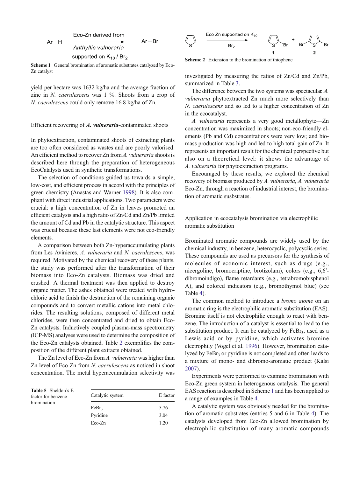Scheme 1 General bromination of aromatic substrates catalyzed by Eco-Zn catalyst

yield per hectare was 1632 kg/ha and the average fraction of zinc in N. caerulescens was 1 %. Shoots from a crop of N. caerulescens could only remove 16.8 kg/ha of Zn.

# Efficient recovering of A. vulneraria-contaminated shoots

In phytoextraction, contaminated shoots of extracting plants are too often considered as wastes and are poorly valorised. An efficient method to recover Zn from A. vulneraria shoots is described here through the preparation of heterogeneous EcoCatalysts used in synthetic transformations.

The selection of conditions guided us towards a simple, low-cost, and efficient process in accord with the principles of green chemistry (Anastas and Warner 1998). It is also compliant with direct industrial applications. Two parameters were crucial: a high concentration of Zn in leaves promoted an efficient catalysis and a high ratio of Zn/Cd and Zn/Pb limited the amount of Cd and Pb in the catalytic structure. This aspect was crucial because these last elements were not eco-friendly elements.

A comparison between both Zn-hyperaccumulating plants from Les Avinieres, A. vulneraria and N. caerulescens, was required. Motivated by the chemical recovery of these plants, the study was performed after the transformation of their biomass into Eco-Zn catalysts. Biomass was dried and crushed. A thermal treatment was then applied to destroy organic matter. The ashes obtained were treated with hydrochloric acid to finish the destruction of the remaining organic compounds and to convert metallic cations into metal chlorides. The resulting solutions, composed of different metal chlorides, were then concentrated and dried to obtain Eco-Zn catalysts. Inductively coupled plasma-mass spectrometry (ICP-MS) analyses were used to determine the composition of the Eco-Zn catalysts obtained. Table 2 exemplifies the composition of the different plant extracts obtained.

The Zn level of Eco-Zn from A. vulneraria was higher than Zn level of Eco-Zn from N. caerulescens as noticed in shoot concentration. The metal hyperaccumulation selectivity was

| <b>Table 5</b> Sheldon's E<br>factor for benzene | Catalytic system  | E factor |
|--------------------------------------------------|-------------------|----------|
| bromination                                      | FeBr <sub>3</sub> | 5.76     |
|                                                  | Pyridine          | 3.04     |
|                                                  | $Eco-Zn$          | 1.20     |



Scheme 2 Extension to the bromination of thiophene

investigated by measuring the ratios of Zn/Cd and Zn/Pb, summarized in Table 3.

The difference between the two systems was spectacular. A. vulneraria phytoextracted Zn much more selectively than N. caerulescens and so led to a higher concentration of Zn in the ecocatalyst.

A. vulneraria represents a very good metallophyte—Zn concentration was maximized in shoots; non-eco-friendly elements (Pb and Cd) concentrations were very low; and biomass production was high and led to high total gain of Zn. It represents an important result for the chemical perspective but also on a theoretical level: it shows the advantage of A. vulneraria for phytoextraction programs.

Encouraged by these results, we explored the chemical recovery of biomass produced by A. vulneraria, A. vulneraria Eco-Zn, through a reaction of industrial interest, the bromination of aromatic susbstrates.

# Application in ecocatalysis bromination via electrophilic aromatic substitution

Brominated aromatic compounds are widely used by the chemical industry, in benzene, heterocyclic, polycyclic series. These compounds are used as precursors for the synthesis of molecules of economic interest, such as drugs (e.g., nicergoline, bromocriptine, brotizolam), colors (e.g., 6,6′ dibromoindigo), flame retardants (e.g., tetrabromobisphenol A), and colored indicators (e.g., bromothymol blue) (see Table 4).

The common method to introduce a bromo atome on an aromatic ring is the electrophilic aromatic substitution (EAS). Bromine itself is not electrophilic enough to react with benzene. The introduction of a catalyst is essential to lead to the substitution product. It can be catalyzed by FeBr<sub>3</sub>, used as a Lewis acid or by pyridine, which activates bromine electrophily (Vogel et al. 1996). However, bromination catalyzed by FeBr<sub>3</sub> or pyridine is not completed and often leads to a mixture of mono- and dibromo-aromatic product (Kalsi 2007).

Experiments were performed to examine bromination with Eco-Zn green system in heterogenous catalysis. The general EAS reaction is described in Scheme 1 and has been applied to a range of examples in Table 4.

A catalytic system was obviously needed for the bromination of aromatic substrates (entries 5 and 6 in Table 4). The catalysts developed from Eco-Zn allowed bromination by electrophilic substitution of many aromatic compounds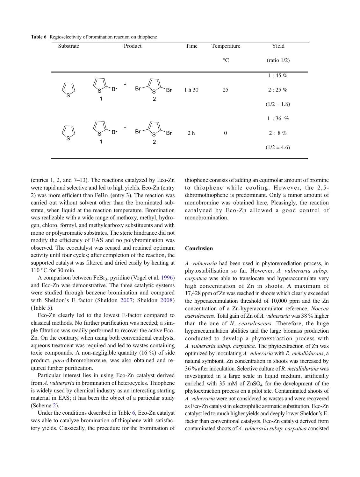Table 6 Regioselectivity of bromination reaction on thiophene

| Substrate | Product                                                      | Time            | Temperature       | Yield         |
|-----------|--------------------------------------------------------------|-----------------|-------------------|---------------|
|           |                                                              |                 | $^{\circ}{\rm C}$ | (ratio 1/2)   |
|           |                                                              |                 |                   | 1:45%         |
| `S        | $\pm$<br>Br-<br>Br<br>Br<br>`S<br>`S´<br>1<br>$\overline{2}$ | $1 \; h \; 30$  | $25\,$            | 2:25%         |
|           |                                                              |                 |                   | $(1/2 = 1.8)$ |
|           |                                                              |                 |                   | 1:36%         |
| Ś.        | $\ddot{\phantom{1}}$<br>$Br^-$<br>Br<br>Br<br>`S<br>`S´      | $2\ \mathrm{h}$ | $\boldsymbol{0}$  | 2:8%          |
|           | 1<br>$\overline{2}$                                          |                 |                   | $(1/2 = 4.6)$ |
|           |                                                              |                 |                   |               |

(entries 1, 2, and 7–13). The reactions catalyzed by Eco-Zn were rapid and selective and led to high yields. Eco-Zn (entry 2) was more efficient than  $FeBr<sub>3</sub>$  (entry 3). The reaction was carried out without solvent other than the brominated substrate, when liquid at the reaction temperature. Bromination was realizable with a wide range of methoxy, methyl, hydrogen, chloro, formyl, and methylcarboxy substituents and with mono or polyaromatic substrates. The steric hindrance did not modify the efficiency of EAS and no polybromination was observed. The ecocatalyst was reused and retained optimum activity until four cycles; after completion of the reaction, the supported catalyst was filtered and dried easily by heating at 110 °C for 30 min.

A comparison between FeBr<sub>3</sub>, pyridine (Vogel et al. 1996) and Eco-Zn was demonstrative. The three catalytic systems were studied through benzene bromination and compared with Sheldon's E factor (Sheldon 2007; Sheldon 2008) (Table 5).

Eco-Zn clearly led to the lowest E-factor compared to classical methods. No further purification was needed; a simple filtration was readily performed to recover the active Eco-Zn. On the contrary, when using both conventional catalysts, aqueous treatment was required and led to wastes containing toxic compounds. A non-negligible quantity (16 %) of side product, para-dibromobenzene, was also obtained and required further purification.

Particular interest lies in using Eco-Zn catalyst derived from A. vulneraria in bromination of heterocycles. Thiophene is widely used by chemical industry as an interesting starting material in EAS; it has been the object of a particular study (Scheme 2).

Under the conditions described in Table 6, Eco-Zn catalyst was able to catalyze bromination of thiophene with satisfactory yields. Classically, the procedure for the bromination of thiophene consists of adding an equimolar amount of bromine to thiophene while cooling. However, the 2,5 dibromothiophene is predominant. Only a minor amount of monobromine was obtained here. Pleasingly, the reaction catalyzed by Eco-Zn allowed a good control of monobromination.

#### Conclusion

A. vulneraria had been used in phytoremediation process, in phytostabilisation so far. However, A. vulneraria subsp. carpatica was able to translocate and hyperaccumulate very high concentration of Zn in shoots. A maximum of 17,428 ppm of Zn was reached in shoots which clearly exceeded the hyperaccumulation threshold of 10,000 ppm and the Zn concentration of a Zn-hyperaccumulator reference, Noccea caerulescens. Total gain of Zn of A. vulneraria was 38 % higher than the one of N. cearulescens. Therefore, the huge hyperaccumulation abilities and the large biomass production conducted to develop a phytoextraction process with A. vulneraria subsp. carpatica. The phytoextraction of Zn was optimized by inoculating A. vulneraria with R. metallidurans, a natural symbiont. Zn concentration in shoots was increased by 36 % after inoculation. Selective culture of R. metallidurans was investigated in a large scale in liquid medium, artificially enriched with 35 mM of  $ZnSO<sub>4</sub>$  for the development of the phytoextraction process on a pilot site. Contaminated shoots of A. vulneraria were not considered as wastes and were recovered as Eco-Zn catalyst in electrophilic aromatic substitution. Eco-Zn catalyst led to much higher yields and deeply lower Sheldon's Efactor than conventional catalysts. Eco-Zn catalyst derived from contaminated shoots of A. vulneraria subsp. carpatica consisted